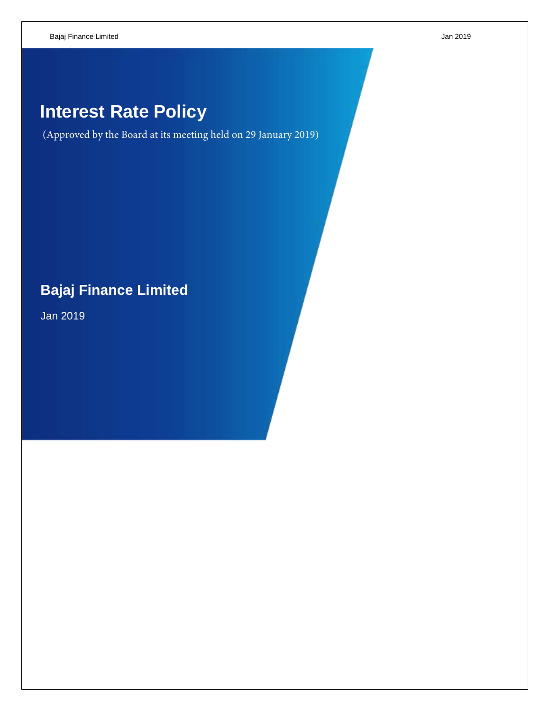# **Interest Rate Policy**

(Approved by the Board at its meeting held on 29 January 2019)

# **Bajaj Finance Limited**

Jan 2019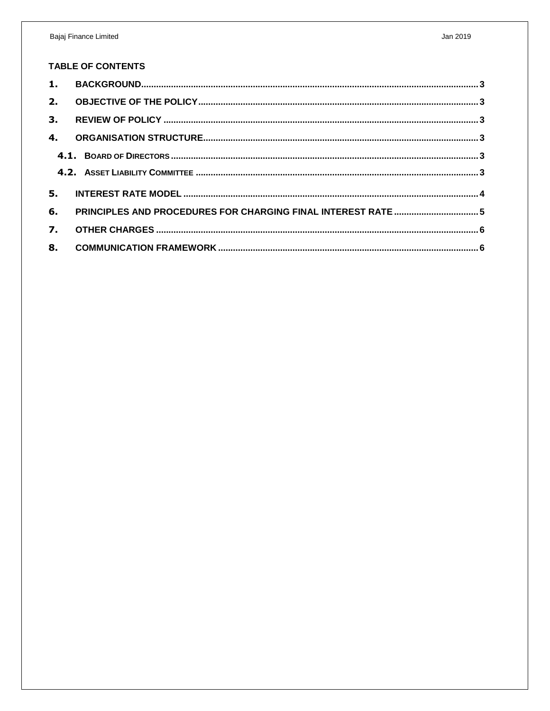## **TABLE OF CONTENTS**

| $\mathbf{1}$ . |  |  |  |  |
|----------------|--|--|--|--|
| 2.             |  |  |  |  |
| 3.             |  |  |  |  |
| 4.             |  |  |  |  |
|                |  |  |  |  |
|                |  |  |  |  |
| 5.             |  |  |  |  |
| 6.             |  |  |  |  |
| 7.             |  |  |  |  |
| 8.             |  |  |  |  |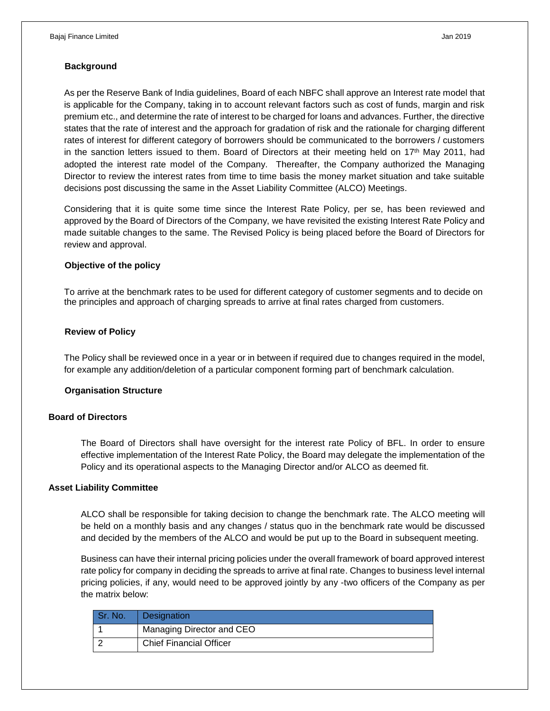#### <span id="page-2-0"></span>**Background**

As per the Reserve Bank of India guidelines, Board of each NBFC shall approve an Interest rate model that is applicable for the Company, taking in to account relevant factors such as cost of funds, margin and risk premium etc., and determine the rate of interest to be charged for loans and advances. Further, the directive states that the rate of interest and the approach for gradation of risk and the rationale for charging different rates of interest for different category of borrowers should be communicated to the borrowers / customers in the sanction letters issued to them. Board of Directors at their meeting held on 17<sup>th</sup> May 2011, had adopted the interest rate model of the Company. Thereafter, the Company authorized the Managing Director to review the interest rates from time to time basis the money market situation and take suitable decisions post discussing the same in the Asset Liability Committee (ALCO) Meetings.

Considering that it is quite some time since the Interest Rate Policy, per se, has been reviewed and approved by the Board of Directors of the Company, we have revisited the existing Interest Rate Policy and made suitable changes to the same. The Revised Policy is being placed before the Board of Directors for review and approval.

#### <span id="page-2-1"></span>**Objective of the policy**

To arrive at the benchmark rates to be used for different category of customer segments and to decide on the principles and approach of charging spreads to arrive at final rates charged from customers.

#### <span id="page-2-2"></span>**Review of Policy**

The Policy shall be reviewed once in a year or in between if required due to changes required in the model, for example any addition/deletion of a particular component forming part of benchmark calculation.

#### <span id="page-2-3"></span>**Organisation Structure**

#### <span id="page-2-4"></span>**Board of Directors**

The Board of Directors shall have oversight for the interest rate Policy of BFL. In order to ensure effective implementation of the Interest Rate Policy, the Board may delegate the implementation of the Policy and its operational aspects to the Managing Director and/or ALCO as deemed fit.

#### <span id="page-2-5"></span>**Asset Liability Committee**

ALCO shall be responsible for taking decision to change the benchmark rate. The ALCO meeting will be held on a monthly basis and any changes / status quo in the benchmark rate would be discussed and decided by the members of the ALCO and would be put up to the Board in subsequent meeting.

Business can have their internal pricing policies under the overall framework of board approved interest rate policy for company in deciding the spreads to arrive at final rate. Changes to business level internal pricing policies, if any, would need to be approved jointly by any -two officers of the Company as per the matrix below:

| Sr. No. | Designation                    |  |
|---------|--------------------------------|--|
|         | Managing Director and CEO      |  |
|         | <b>Chief Financial Officer</b> |  |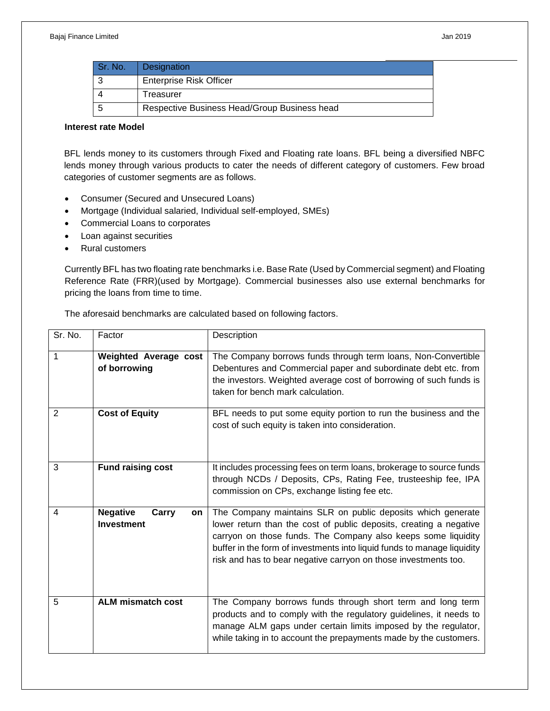| Sr. No. | Designation                                  |
|---------|----------------------------------------------|
|         | <b>Enterprise Risk Officer</b>               |
|         | Treasurer                                    |
|         | Respective Business Head/Group Business head |

### <span id="page-3-0"></span>**Interest rate Model**

BFL lends money to its customers through Fixed and Floating rate loans. BFL being a diversified NBFC lends money through various products to cater the needs of different category of customers. Few broad categories of customer segments are as follows.

- Consumer (Secured and Unsecured Loans)
- Mortgage (Individual salaried, Individual self-employed, SMEs)
- Commercial Loans to corporates
- Loan against securities
- Rural customers

Currently BFL has two floating rate benchmarks i.e. Base Rate (Used by Commercial segment) and Floating Reference Rate (FRR)(used by Mortgage). Commercial businesses also use external benchmarks for pricing the loans from time to time.

The aforesaid benchmarks are calculated based on following factors.

| Sr. No. | Factor                                              | Description                                                                                                                                                                                                                                                                                                                                      |  |
|---------|-----------------------------------------------------|--------------------------------------------------------------------------------------------------------------------------------------------------------------------------------------------------------------------------------------------------------------------------------------------------------------------------------------------------|--|
| 1       | <b>Weighted Average cost</b><br>of borrowing        | The Company borrows funds through term loans, Non-Convertible<br>Debentures and Commercial paper and subordinate debt etc. from<br>the investors. Weighted average cost of borrowing of such funds is<br>taken for bench mark calculation.                                                                                                       |  |
| 2       | <b>Cost of Equity</b>                               | BFL needs to put some equity portion to run the business and the<br>cost of such equity is taken into consideration.                                                                                                                                                                                                                             |  |
| 3       | <b>Fund raising cost</b>                            | It includes processing fees on term loans, brokerage to source funds<br>through NCDs / Deposits, CPs, Rating Fee, trusteeship fee, IPA<br>commission on CPs, exchange listing fee etc.                                                                                                                                                           |  |
| 4       | <b>Negative</b><br>Carry<br>on<br><b>Investment</b> | The Company maintains SLR on public deposits which generate<br>lower return than the cost of public deposits, creating a negative<br>carryon on those funds. The Company also keeps some liquidity<br>buffer in the form of investments into liquid funds to manage liquidity<br>risk and has to bear negative carryon on those investments too. |  |
| 5       | <b>ALM mismatch cost</b>                            | The Company borrows funds through short term and long term<br>products and to comply with the regulatory guidelines, it needs to<br>manage ALM gaps under certain limits imposed by the regulator,<br>while taking in to account the prepayments made by the customers.                                                                          |  |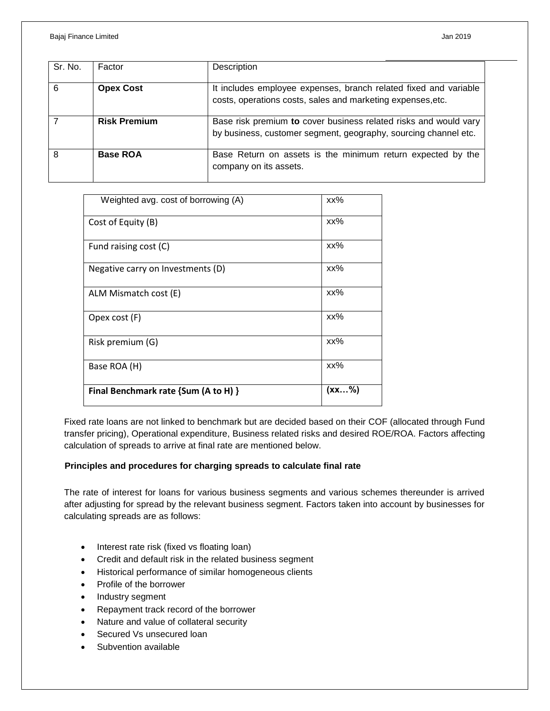| Sr. No. | Factor              | Description                                                                                                                         |
|---------|---------------------|-------------------------------------------------------------------------------------------------------------------------------------|
| 6       | <b>Opex Cost</b>    | It includes employee expenses, branch related fixed and variable<br>costs, operations costs, sales and marketing expenses, etc.     |
|         | <b>Risk Premium</b> | Base risk premium to cover business related risks and would vary<br>by business, customer segment, geography, sourcing channel etc. |
| 8       | <b>Base ROA</b>     | Base Return on assets is the minimum return expected by the<br>company on its assets.                                               |

| Weighted avg. cost of borrowing (A)  | xx%   |
|--------------------------------------|-------|
| Cost of Equity (B)                   | xx%   |
| Fund raising cost (C)                | xx%   |
| Negative carry on Investments (D)    | xx%   |
| ALM Mismatch cost (E)                | xx%   |
| Opex cost (F)                        | xx%   |
| Risk premium (G)                     | xx%   |
| Base ROA (H)                         | xx%   |
| Final Benchmark rate {Sum (A to H) } | (xx%) |

Fixed rate loans are not linked to benchmark but are decided based on their COF (allocated through Fund transfer pricing), Operational expenditure, Business related risks and desired ROE/ROA. Factors affecting calculation of spreads to arrive at final rate are mentioned below.

#### <span id="page-4-0"></span>**Principles and procedures for charging spreads to calculate final rate**

The rate of interest for loans for various business segments and various schemes thereunder is arrived after adjusting for spread by the relevant business segment. Factors taken into account by businesses for calculating spreads are as follows:

- Interest rate risk (fixed vs floating loan)
- Credit and default risk in the related business segment
- Historical performance of similar homogeneous clients
- Profile of the borrower
- Industry segment
- Repayment track record of the borrower
- Nature and value of collateral security
- Secured Vs unsecured loan
- Subvention available